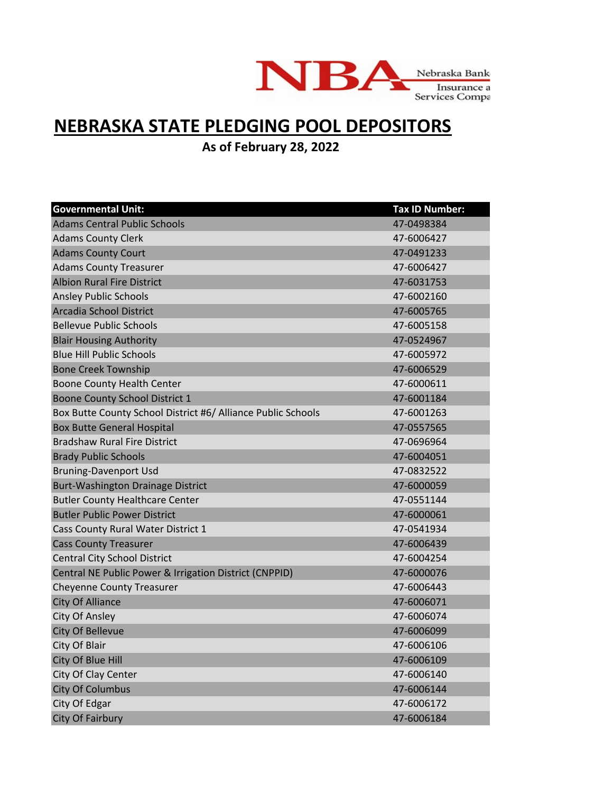

## **NEBRASKA STATE PLEDGING POOL DEPOSITORS**

**As of February 28, 2022**

| <b>Governmental Unit:</b>                                    | <b>Tax ID Number:</b> |
|--------------------------------------------------------------|-----------------------|
| <b>Adams Central Public Schools</b>                          | 47-0498384            |
| <b>Adams County Clerk</b>                                    | 47-6006427            |
| <b>Adams County Court</b>                                    | 47-0491233            |
| <b>Adams County Treasurer</b>                                | 47-6006427            |
| <b>Albion Rural Fire District</b>                            | 47-6031753            |
| <b>Ansley Public Schools</b>                                 | 47-6002160            |
| Arcadia School District                                      | 47-6005765            |
| <b>Bellevue Public Schools</b>                               | 47-6005158            |
| <b>Blair Housing Authority</b>                               | 47-0524967            |
| <b>Blue Hill Public Schools</b>                              | 47-6005972            |
| <b>Bone Creek Township</b>                                   | 47-6006529            |
| Boone County Health Center                                   | 47-6000611            |
| Boone County School District 1                               | 47-6001184            |
| Box Butte County School District #6/ Alliance Public Schools | 47-6001263            |
| <b>Box Butte General Hospital</b>                            | 47-0557565            |
| <b>Bradshaw Rural Fire District</b>                          | 47-0696964            |
| <b>Brady Public Schools</b>                                  | 47-6004051            |
| <b>Bruning-Davenport Usd</b>                                 | 47-0832522            |
| Burt-Washington Drainage District                            | 47-6000059            |
| <b>Butler County Healthcare Center</b>                       | 47-0551144            |
| <b>Butler Public Power District</b>                          | 47-6000061            |
| Cass County Rural Water District 1                           | 47-0541934            |
| <b>Cass County Treasurer</b>                                 | 47-6006439            |
| <b>Central City School District</b>                          | 47-6004254            |
| Central NE Public Power & Irrigation District (CNPPID)       | 47-6000076            |
| <b>Cheyenne County Treasurer</b>                             | 47-6006443            |
| <b>City Of Alliance</b>                                      | 47-6006071            |
| <b>City Of Ansley</b>                                        | 47-6006074            |
| <b>City Of Bellevue</b>                                      | 47-6006099            |
| City Of Blair                                                | 47-6006106            |
| City Of Blue Hill                                            | 47-6006109            |
| City Of Clay Center                                          | 47-6006140            |
| <b>City Of Columbus</b>                                      | 47-6006144            |
| City Of Edgar                                                | 47-6006172            |
| <b>City Of Fairbury</b>                                      | 47-6006184            |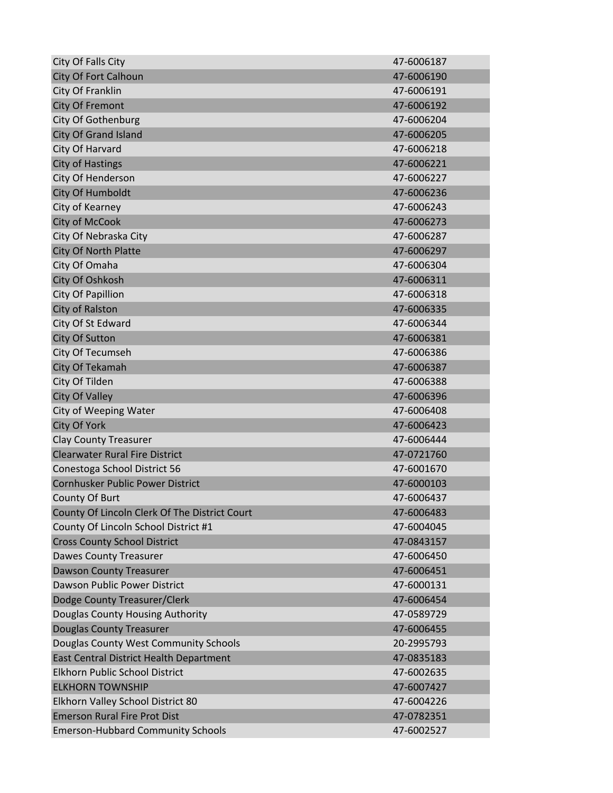| City Of Falls City                            | 47-6006187 |
|-----------------------------------------------|------------|
| <b>City Of Fort Calhoun</b>                   | 47-6006190 |
| City Of Franklin                              | 47-6006191 |
| <b>City Of Fremont</b>                        | 47-6006192 |
| City Of Gothenburg                            | 47-6006204 |
| City Of Grand Island                          | 47-6006205 |
| City Of Harvard                               | 47-6006218 |
| <b>City of Hastings</b>                       | 47-6006221 |
| City Of Henderson                             | 47-6006227 |
| City Of Humboldt                              | 47-6006236 |
| City of Kearney                               | 47-6006243 |
| City of McCook                                | 47-6006273 |
| City Of Nebraska City                         | 47-6006287 |
| City Of North Platte                          | 47-6006297 |
| City Of Omaha                                 | 47-6006304 |
| City Of Oshkosh                               | 47-6006311 |
| <b>City Of Papillion</b>                      | 47-6006318 |
| <b>City of Ralston</b>                        | 47-6006335 |
| City Of St Edward                             | 47-6006344 |
| <b>City Of Sutton</b>                         | 47-6006381 |
| City Of Tecumseh                              | 47-6006386 |
| City Of Tekamah                               | 47-6006387 |
| City Of Tilden                                | 47-6006388 |
| <b>City Of Valley</b>                         | 47-6006396 |
| City of Weeping Water                         | 47-6006408 |
| <b>City Of York</b>                           | 47-6006423 |
| <b>Clay County Treasurer</b>                  | 47-6006444 |
| <b>Clearwater Rural Fire District</b>         | 47-0721760 |
| Conestoga School District 56                  | 47-6001670 |
| Cornhusker Public Power District              | 47-6000103 |
| County Of Burt                                | 47-6006437 |
| County Of Lincoln Clerk Of The District Court | 47-6006483 |
| County Of Lincoln School District #1          | 47-6004045 |
| <b>Cross County School District</b>           | 47-0843157 |
| <b>Dawes County Treasurer</b>                 | 47-6006450 |
| <b>Dawson County Treasurer</b>                | 47-6006451 |
| Dawson Public Power District                  | 47-6000131 |
| Dodge County Treasurer/Clerk                  | 47-6006454 |
| Douglas County Housing Authority              | 47-0589729 |
| <b>Douglas County Treasurer</b>               | 47-6006455 |
| Douglas County West Community Schools         | 20-2995793 |
| East Central District Health Department       | 47-0835183 |
| Elkhorn Public School District                | 47-6002635 |
| <b>ELKHORN TOWNSHIP</b>                       | 47-6007427 |
| Elkhorn Valley School District 80             | 47-6004226 |
| <b>Emerson Rural Fire Prot Dist</b>           | 47-0782351 |
| <b>Emerson-Hubbard Community Schools</b>      | 47-6002527 |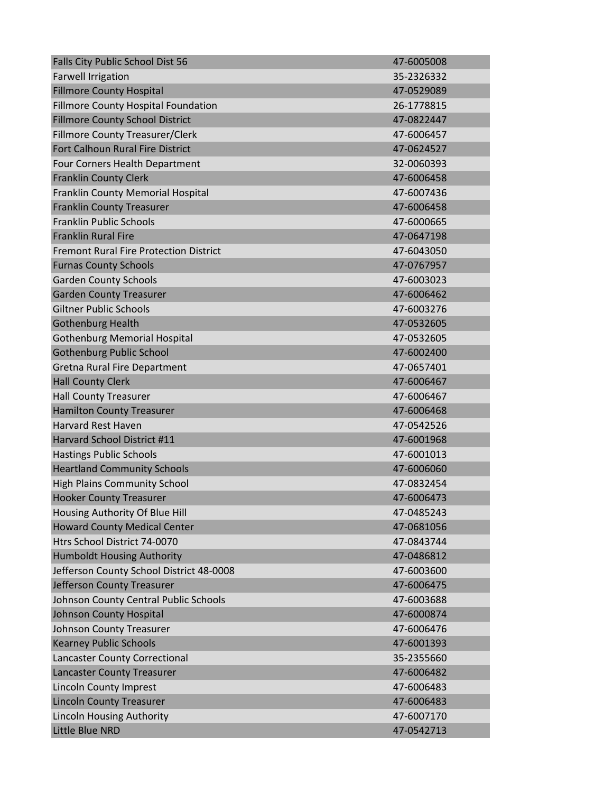| Falls City Public School Dist 56              | 47-6005008 |
|-----------------------------------------------|------------|
| <b>Farwell Irrigation</b>                     | 35-2326332 |
| <b>Fillmore County Hospital</b>               | 47-0529089 |
| Fillmore County Hospital Foundation           | 26-1778815 |
| <b>Fillmore County School District</b>        | 47-0822447 |
| Fillmore County Treasurer/Clerk               | 47-6006457 |
| Fort Calhoun Rural Fire District              | 47-0624527 |
| Four Corners Health Department                | 32-0060393 |
| <b>Franklin County Clerk</b>                  | 47-6006458 |
| Franklin County Memorial Hospital             | 47-6007436 |
| <b>Franklin County Treasurer</b>              | 47-6006458 |
| <b>Franklin Public Schools</b>                | 47-6000665 |
| <b>Franklin Rural Fire</b>                    | 47-0647198 |
| <b>Fremont Rural Fire Protection District</b> | 47-6043050 |
| <b>Furnas County Schools</b>                  | 47-0767957 |
| <b>Garden County Schools</b>                  | 47-6003023 |
| <b>Garden County Treasurer</b>                | 47-6006462 |
| <b>Giltner Public Schools</b>                 | 47-6003276 |
| <b>Gothenburg Health</b>                      | 47-0532605 |
| <b>Gothenburg Memorial Hospital</b>           | 47-0532605 |
| <b>Gothenburg Public School</b>               | 47-6002400 |
| <b>Gretna Rural Fire Department</b>           | 47-0657401 |
| <b>Hall County Clerk</b>                      | 47-6006467 |
| <b>Hall County Treasurer</b>                  | 47-6006467 |
| <b>Hamilton County Treasurer</b>              | 47-6006468 |
| <b>Harvard Rest Haven</b>                     | 47-0542526 |
| Harvard School District #11                   | 47-6001968 |
| <b>Hastings Public Schools</b>                | 47-6001013 |
| <b>Heartland Community Schools</b>            | 47-6006060 |
| <b>High Plains Community School</b>           | 47-0832454 |
| <b>Hooker County Treasurer</b>                | 47-6006473 |
| Housing Authority Of Blue Hill                | 47-0485243 |
| <b>Howard County Medical Center</b>           | 47-0681056 |
| Htrs School District 74-0070                  | 47-0843744 |
| <b>Humboldt Housing Authority</b>             | 47-0486812 |
| Jefferson County School District 48-0008      | 47-6003600 |
| Jefferson County Treasurer                    | 47-6006475 |
| Johnson County Central Public Schools         | 47-6003688 |
| <b>Johnson County Hospital</b>                | 47-6000874 |
| Johnson County Treasurer                      | 47-6006476 |
| <b>Kearney Public Schools</b>                 | 47-6001393 |
| <b>Lancaster County Correctional</b>          | 35-2355660 |
| <b>Lancaster County Treasurer</b>             | 47-6006482 |
| <b>Lincoln County Imprest</b>                 | 47-6006483 |
| <b>Lincoln County Treasurer</b>               | 47-6006483 |
| <b>Lincoln Housing Authority</b>              | 47-6007170 |
| Little Blue NRD                               | 47-0542713 |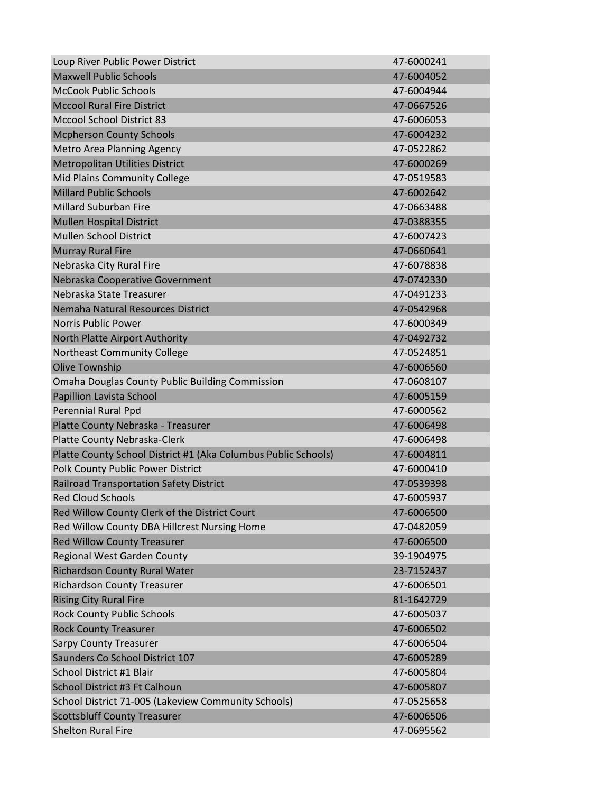| Loup River Public Power District                               | 47-6000241 |
|----------------------------------------------------------------|------------|
| <b>Maxwell Public Schools</b>                                  | 47-6004052 |
| <b>McCook Public Schools</b>                                   | 47-6004944 |
| <b>Mccool Rural Fire District</b>                              | 47-0667526 |
| <b>Mccool School District 83</b>                               | 47-6006053 |
| <b>Mcpherson County Schools</b>                                | 47-6004232 |
| <b>Metro Area Planning Agency</b>                              | 47-0522862 |
| <b>Metropolitan Utilities District</b>                         | 47-6000269 |
| Mid Plains Community College                                   | 47-0519583 |
| <b>Millard Public Schools</b>                                  | 47-6002642 |
| <b>Millard Suburban Fire</b>                                   | 47-0663488 |
| <b>Mullen Hospital District</b>                                | 47-0388355 |
| <b>Mullen School District</b>                                  | 47-6007423 |
| <b>Murray Rural Fire</b>                                       | 47-0660641 |
| Nebraska City Rural Fire                                       | 47-6078838 |
| Nebraska Cooperative Government                                | 47-0742330 |
| Nebraska State Treasurer                                       | 47-0491233 |
| Nemaha Natural Resources District                              | 47-0542968 |
| <b>Norris Public Power</b>                                     | 47-6000349 |
| North Platte Airport Authority                                 | 47-0492732 |
| <b>Northeast Community College</b>                             | 47-0524851 |
| <b>Olive Township</b>                                          | 47-6006560 |
| <b>Omaha Douglas County Public Building Commission</b>         | 47-0608107 |
| Papillion Lavista School                                       | 47-6005159 |
| Perennial Rural Ppd                                            | 47-6000562 |
| Platte County Nebraska - Treasurer                             | 47-6006498 |
| Platte County Nebraska-Clerk                                   | 47-6006498 |
| Platte County School District #1 (Aka Columbus Public Schools) | 47-6004811 |
| Polk County Public Power District                              | 47-6000410 |
| <b>Railroad Transportation Safety District</b>                 | 47-0539398 |
| <b>Red Cloud Schools</b>                                       | 47-6005937 |
| Red Willow County Clerk of the District Court                  | 47-6006500 |
| Red Willow County DBA Hillcrest Nursing Home                   | 47-0482059 |
| <b>Red Willow County Treasurer</b>                             | 47-6006500 |
| <b>Regional West Garden County</b>                             | 39-1904975 |
| <b>Richardson County Rural Water</b>                           | 23-7152437 |
| <b>Richardson County Treasurer</b>                             | 47-6006501 |
| <b>Rising City Rural Fire</b>                                  | 81-1642729 |
| <b>Rock County Public Schools</b>                              | 47-6005037 |
| <b>Rock County Treasurer</b>                                   | 47-6006502 |
| <b>Sarpy County Treasurer</b>                                  | 47-6006504 |
| Saunders Co School District 107                                | 47-6005289 |
| School District #1 Blair                                       | 47-6005804 |
| School District #3 Ft Calhoun                                  | 47-6005807 |
| School District 71-005 (Lakeview Community Schools)            | 47-0525658 |
| <b>Scottsbluff County Treasurer</b>                            | 47-6006506 |
| <b>Shelton Rural Fire</b>                                      | 47-0695562 |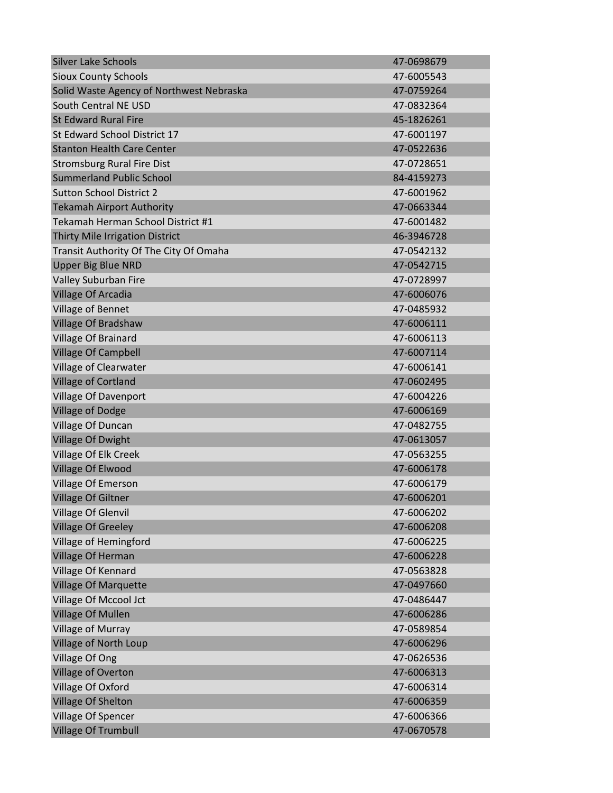| <b>Silver Lake Schools</b>               | 47-0698679 |
|------------------------------------------|------------|
| <b>Sioux County Schools</b>              | 47-6005543 |
| Solid Waste Agency of Northwest Nebraska | 47-0759264 |
| South Central NE USD                     | 47-0832364 |
| <b>St Edward Rural Fire</b>              | 45-1826261 |
| St Edward School District 17             | 47-6001197 |
| <b>Stanton Health Care Center</b>        | 47-0522636 |
| <b>Stromsburg Rural Fire Dist</b>        | 47-0728651 |
| <b>Summerland Public School</b>          | 84-4159273 |
| <b>Sutton School District 2</b>          | 47-6001962 |
| <b>Tekamah Airport Authority</b>         | 47-0663344 |
| Tekamah Herman School District #1        | 47-6001482 |
| Thirty Mile Irrigation District          | 46-3946728 |
| Transit Authority Of The City Of Omaha   | 47-0542132 |
| <b>Upper Big Blue NRD</b>                | 47-0542715 |
| Valley Suburban Fire                     | 47-0728997 |
| Village Of Arcadia                       | 47-6006076 |
| Village of Bennet                        | 47-0485932 |
| Village Of Bradshaw                      | 47-6006111 |
| Village Of Brainard                      | 47-6006113 |
| <b>Village Of Campbell</b>               | 47-6007114 |
| Village of Clearwater                    | 47-6006141 |
| <b>Village of Cortland</b>               | 47-0602495 |
| Village Of Davenport                     | 47-6004226 |
| <b>Village of Dodge</b>                  | 47-6006169 |
| Village Of Duncan                        | 47-0482755 |
| <b>Village Of Dwight</b>                 | 47-0613057 |
| Village Of Elk Creek                     | 47-0563255 |
| <b>Village Of Elwood</b>                 | 47-6006178 |
| Village Of Emerson                       | 47-6006179 |
| <b>Village Of Giltner</b>                | 47-6006201 |
| <b>Village Of Glenvil</b>                | 47-6006202 |
| <b>Village Of Greeley</b>                | 47-6006208 |
| Village of Hemingford                    | 47-6006225 |
| Village Of Herman                        | 47-6006228 |
| Village Of Kennard                       | 47-0563828 |
| <b>Village Of Marquette</b>              | 47-0497660 |
| Village Of Mccool Jct                    | 47-0486447 |
| <b>Village Of Mullen</b>                 | 47-6006286 |
| Village of Murray                        | 47-0589854 |
| Village of North Loup                    | 47-6006296 |
| Village Of Ong                           | 47-0626536 |
| <b>Village of Overton</b>                | 47-6006313 |
| Village Of Oxford                        | 47-6006314 |
| Village Of Shelton                       | 47-6006359 |
| Village Of Spencer                       | 47-6006366 |
| <b>Village Of Trumbull</b>               | 47-0670578 |